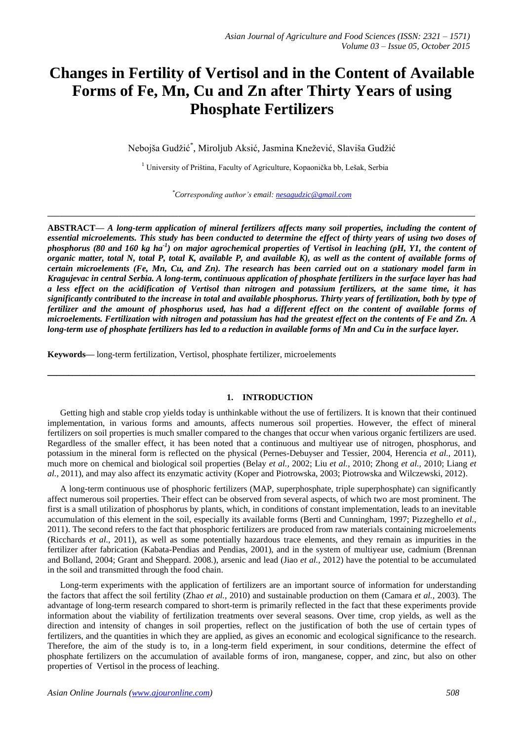# **Changes in Fertility of Vertisol and in the Content of Available Forms of Fe, Mn, Cu and Zn after Thirty Years of using Phosphate Fertilizers**

Nebojša Gudžić\* , Miroljub Aksić, Jasmina Knežević, Slaviša Gudžić

<sup>1</sup> University of Priština, Faculty of Agriculture, Kopaonička bb, Lešak, Serbia

*\*Corresponding author's email: [nesagudzic@gmail.com](mailto:nesagudzic@gmail.com)*

**\_\_\_\_\_\_\_\_\_\_\_\_\_\_\_\_\_\_\_\_\_\_\_\_\_\_\_\_\_\_\_\_\_\_\_\_\_\_\_\_\_\_\_\_\_\_\_\_\_\_\_\_\_\_\_\_\_\_\_\_\_\_\_\_\_\_\_\_\_\_\_\_\_\_\_\_\_\_\_\_\_\_\_\_\_\_\_\_\_\_\_\_\_\_\_\_\_\_\_\_\_\_\_\_\_\_\_\_**

**ABSTRACT—** *A long-term application of mineral fertilizers affects many soil properties, including the content of*  essential microelements. This study has been conducted to determine the effect of thirty years of using two doses of *phosphorus (80 and 160 kg ha-1 ) on major agrochemical properties of Vertisol in leaching (pH, Y1, the content of organic matter, total N, total P, total K, available P, and available K), as well as the content of available forms of certain microelements (Fe, Mn, Cu, and Zn). The research has been carried out on a stationary model farm in Kragujevac in central Serbia. A long-term, continuous application of phosphate fertilizers in the surface layer has had a less effect on the acidification of Vertisol than nitrogen and potassium fertilizers, at the same time, it has significantly contributed to the increase in total and available phosphorus. Thirty years of fertilization, both by type of fertilizer and the amount of phosphorus used, has had a different effect on the content of available forms of microelements. Fertilization with nitrogen and potassium has had the greatest effect on the contents of Fe and Zn. A long-term use of phosphate fertilizers has led to a reduction in available forms of Mn and Cu in the surface layer.*

**Keywords—** long-term fertilization, Vertisol, phosphate fertilizer, microelements

#### **1. INTRODUCTION**

**\_\_\_\_\_\_\_\_\_\_\_\_\_\_\_\_\_\_\_\_\_\_\_\_\_\_\_\_\_\_\_\_\_\_\_\_\_\_\_\_\_\_\_\_\_\_\_\_\_\_\_\_\_\_\_\_\_\_\_\_\_\_\_\_\_\_\_\_\_\_\_\_\_\_\_\_\_\_\_\_\_**

Getting high and stable crop yields today is unthinkable without the use of fertilizers. It is known that their continued implementation, in various forms and amounts, affects numerous soil properties. However, the effect of mineral fertilizers on soil properties is much smaller compared to the changes that occur when various organic fertilizers are used. Regardless of the smaller effect, it has been noted that a continuous and multiyear use of nitrogen, phosphorus, and potassium in the mineral form is reflected on the physical (Pernes-Debuyser and Tessier, 2004, Herencia *et al.,* 2011), much more on chemical and biological soil properties (Belay *et al.,* 2002; Liu *et al.,* 2010; Zhong *et al.,* 2010; Liang *et al.,* 2011), and may also affect its enzymatic activity (Koper and Piotrowska, 2003; Piotrowska and Wilczewski, 2012).

A long-term continuous use of phosphoric fertilizers (MAP, superphosphate, triple superphosphate) can significantly affect numerous soil properties. Their effect can be observed from several aspects, of which two are most prominent. The first is a small utilization of phosphorus by plants, which, in conditions of constant implementation, leads to an inevitable accumulation of this element in the soil, especially its available forms (Berti and Cunningham, 1997; Pizzeghello *et al.,* 2011). The second refers to the fact that phosphoric fertilizers are produced from raw materials containing microelements (Ricchards *et al.,* 2011), as well as some potentially hazardous trace elements, and they remain as impurities in the fertilizer after fabrication (Kabata-Pendias and Pendias, 2001), and in the system of multiyear use, cadmium (Brennan and Bolland, 2004; Grant and Sheppard. 2008.), arsenic and lead (Jiao *et al.,* 2012) have the potential to be accumulated in the soil and transmitted through the food chain.

Long-term experiments with the application of fertilizers are an important source of information for understanding the factors that affect the soil fertility (Zhao *et al.,* 2010) and sustainable production on them (Camara *et al.,* 2003). The advantage of long-term research compared to short-term is primarily reflected in the fact that these experiments provide information about the viability of fertilization treatments over several seasons. Over time, crop yields, as well as the direction and intensity of changes in soil properties, reflect on the justification of both the use of certain types of fertilizers, and the quantities in which they are applied, as gives an economic and ecological significance to the research. Therefore, the aim of the study is to, in a long-term field experiment, in sour conditions, determine the effect of phosphate fertilizers on the accumulation of available forms of iron, manganese, copper, and zinc, but also on other properties of Vertisol in the process of leaching.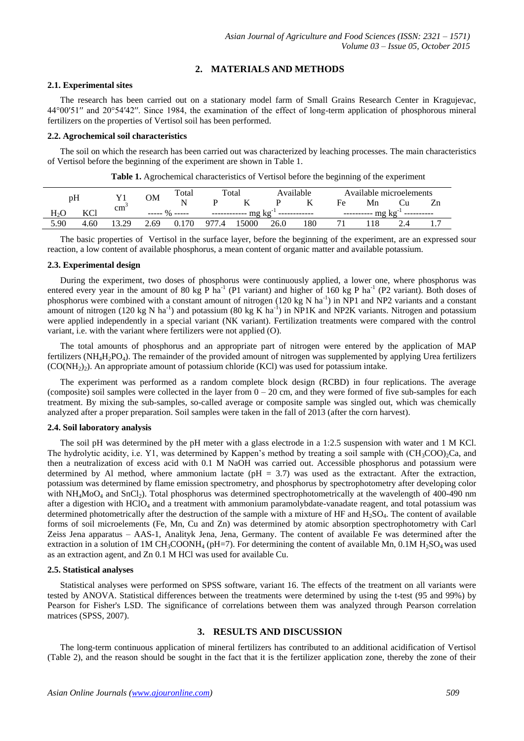# **2. MATERIALS AND METHODS**

#### **2.1. Experimental sites**

The research has been carried out on a stationary model farm of Small Grains Research Center in Kragujevac, 44°00′51′′ and 20°54′42′′. Since 1984, the examination of the effect of long-term application of phosphorous mineral fertilizers on the properties of Vertisol soil has been performed.

## **2.2. Agrochemical soil characteristics**

The soil on which the research has been carried out was characterized by leaching processes. The main characteristics of Vertisol before the beginning of the experiment are shown in Table 1.

**Table 1.** Agrochemical characteristics of Vertisol before the beginning of the experiment

| pH     |      |                 |      | Total        | Total |      | Available |     | Available microelements |    |  |  |
|--------|------|-----------------|------|--------------|-------|------|-----------|-----|-------------------------|----|--|--|
|        |      |                 | OМ   | <b>NT</b>    |       | T7   |           |     | Fe                      | Mn |  |  |
| $H_2C$ | KCl  | cm <sup>-</sup> |      |              | mg kg |      |           | шч  |                         |    |  |  |
| 5.90   | 4.60 | 20              | 2.69 | $70^{\circ}$ | 977.4 | 5000 | 26.0      | 180 |                         |    |  |  |

The basic properties of Vertisol in the surface layer, before the beginning of the experiment, are an expressed sour reaction, a low content of available phosphorus, a mean content of organic matter and available potassium.

# **2.3. Experimental design**

During the experiment, two doses of phosphorus were continuously applied, a lower one, where phosphorus was entered every year in the amount of 80 kg P ha<sup>-1</sup> (P1 variant) and higher of 160 kg P ha<sup>-1</sup> (P2 variant). Both doses of phosphorus were combined with a constant amount of nitrogen (120 kg N ha<sup>-1</sup>) in NP1 and NP2 variants and a constant amount of nitrogen (120 kg N ha<sup>-1</sup>) and potassium (80 kg K ha<sup>-1</sup>) in NP1K and NP2K variants. Nitrogen and potassium were applied independently in a special variant (NK variant). Fertilization treatments were compared with the control variant, i.e. with the variant where fertilizers were not applied (O).

The total amounts of phosphorus and an appropriate part of nitrogen were entered by the application of MAP fertilizers (NH<sub>4</sub>H<sub>2</sub>PO<sub>4</sub>). The remainder of the provided amount of nitrogen was supplemented by applying Urea fertilizers  $(CO(NH<sub>2</sub>)<sub>2</sub>)$ . An appropriate amount of potassium chloride (KCl) was used for potassium intake.

The experiment was performed as a random complete block design (RCBD) in four replications. The average (composite) soil samples were collected in the layer from  $0 - 20$  cm, and they were formed of five sub-samples for each treatment. By mixing the sub-samples, so-called average or composite sample was singled out, which was chemically analyzed after a proper preparation. Soil samples were taken in the fall of 2013 (after the corn harvest).

## **2.4. Soil laboratory analysis**

The soil pH was determined by the pH meter with a glass electrode in a 1:2.5 suspension with water and 1 M KCl. The hydrolytic acidity, i.e. Y1, was determined by Kappen's method by treating a soil sample with  $(CH_3COO)_{2}$ Ca, and then a neutralization of excess acid with 0.1 M NaOH was carried out. Accessible phosphorus and potassium were determined by Al method, where ammonium lactate ( $pH = 3.7$ ) was used as the extractant. After the extraction, potassium was determined by flame emission spectrometry, and phosphorus by spectrophotometry after developing color with  $NH<sub>4</sub>MoO<sub>4</sub>$  and  $SnCl<sub>2</sub>$ ). Total phosphorus was determined spectrophotometrically at the wavelength of 400-490 nm after a digestion with HClO<sub>4</sub> and a treatment with ammonium paramolybdate-vanadate reagent, and total potassium was determined photometrically after the destruction of the sample with a mixture of HF and  $H_2SO_4$ . The content of available forms of soil microelements (Fe, Mn, Cu and Zn) was determined by atomic absorption spectrophotometry with Carl Zeiss Jena apparatus – AAS-1, Analityk Jena, Jena, Germany. The content of available Fe was determined after the extraction in a solution of 1M CH<sub>3</sub>COONH<sub>4</sub> (pH=7). For determining the content of available Mn, 0.1M H<sub>2</sub>SO<sub>4</sub> was used as an extraction agent, and Zn 0.1 M HCl was used for available Cu.

## **2.5. Statistical analyses**

Statistical analyses were performed on SPSS software, variant 16. The effects of the treatment on all variants were tested by ANOVA. Statistical differences between the treatments were determined by using the t-test (95 and 99%) by Pearson for Fisher's LSD. The significance of correlations between them was analyzed through Pearson correlation matrices (SPSS, 2007).

# **3. RESULTS AND DISCUSSION**

The long-term continuous application of mineral fertilizers has contributed to an additional acidification of Vertisol (Table 2), and the reason should be sought in the fact that it is the fertilizer application zone, thereby the zone of their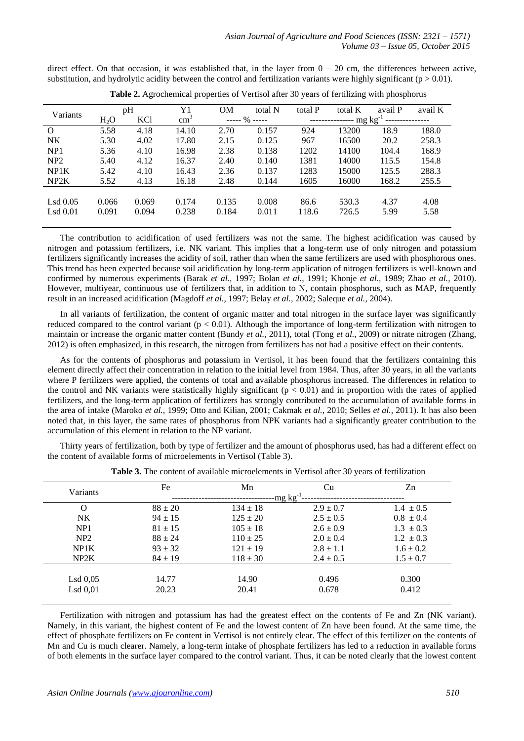direct effect. On that occasion, it was established that, in the layer from  $0 - 20$  cm, the differences between active, substitution, and hydrolytic acidity between the control and fertilization variants were highly significant ( $p > 0.01$ ).

| Variants   | pH     |            | Y1            | <b>OM</b>    | total N | total P  | total K | avail P | avail K |
|------------|--------|------------|---------------|--------------|---------|----------|---------|---------|---------|
|            | $H_2O$ | <b>KCl</b> | $\text{cm}^3$ | $--- 96 ---$ |         | $mg\ kg$ |         |         |         |
| $\Omega$   | 5.58   | 4.18       | 14.10         | 2.70         | 0.157   | 924      | 13200   | 18.9    | 188.0   |
| NK         | 5.30   | 4.02       | 17.80         | 2.15         | 0.125   | 967      | 16500   | 20.2    | 258.3   |
| NP1        | 5.36   | 4.10       | 16.98         | 2.38         | 0.138   | 1202     | 14100   | 104.4   | 168.9   |
| NP2        | 5.40   | 4.12       | 16.37         | 2.40         | 0.140   | 1381     | 14000   | 115.5   | 154.8   |
| NP1K       | 5.42   | 4.10       | 16.43         | 2.36         | 0.137   | 1283     | 15000   | 125.5   | 288.3   |
| NP2K       | 5.52   | 4.13       | 16.18         | 2.48         | 0.144   | 1605     | 16000   | 168.2   | 255.5   |
|            |        |            |               |              |         |          |         |         |         |
| $Lsd$ 0.05 | 0.066  | 0.069      | 0.174         | 0.135        | 0.008   | 86.6     | 530.3   | 4.37    | 4.08    |
| $Lsd$ 0.01 | 0.091  | 0.094      | 0.238         | 0.184        | 0.011   | 118.6    | 726.5   | 5.99    | 5.58    |
|            |        |            |               |              |         |          |         |         |         |

**Table 2.** Agrochemical properties of Vertisol after 30 years of fertilizing with phosphorus

The contribution to acidification of used fertilizers was not the same. The highest acidification was caused by nitrogen and potassium fertilizers, i.e. NK variant. This implies that a long-term use of only nitrogen and potassium fertilizers significantly increases the acidity of soil, rather than when the same fertilizers are used with phosphorous ones. This trend has been expected because soil acidification by long-term application of nitrogen fertilizers is well-known and confirmed by numerous experiments (Barak *et al.,* 1997; Bolan *et al.,* 1991; Khonje *et al.,* 1989; Zhao *et al.,* 2010). However, multiyear, continuous use of fertilizers that, in addition to N, contain phosphorus, such as MAP, frequently result in an increased acidification (Magdoff *et al.,* 1997; Belay *et al.,* 2002; Saleque *et al.,* 2004).

In all variants of fertilization, the content of organic matter and total nitrogen in the surface layer was significantly reduced compared to the control variant  $(p < 0.01)$ . Although the importance of long-term fertilization with nitrogen to maintain or increase the organic matter content (Bundy *et al.,* 2011), total (Tong *et al.,* 2009) or nitrate nitrogen (Zhang, 2012) is often emphasized, in this research, the nitrogen from fertilizers has not had a positive effect on their contents.

As for the contents of phosphorus and potassium in Vertisol, it has been found that the fertilizers containing this element directly affect their concentration in relation to the initial level from 1984. Thus, after 30 years, in all the variants where P fertilizers were applied, the contents of total and available phosphorus increased. The differences in relation to the control and NK variants were statistically highly significant  $(p < 0.01)$  and in proportion with the rates of applied fertilizers, and the long-term application of fertilizers has strongly contributed to the accumulation of available forms in the area of intake (Maroko *et al.,* 1999; Otto and Kilian, 2001; Cakmak *et al.,* 2010; Selles *et al.,* 2011). It has also been noted that, in this layer, the same rates of phosphorus from NPK variants had a significantly greater contribution to the accumulation of this element in relation to the NP variant.

Thirty years of fertilization, both by type of fertilizer and the amount of phosphorus used, has had a different effect on the content of available forms of microelements in Vertisol (Table 3).

|             |              |               | Zn            |  |  |  |  |  |  |
|-------------|--------------|---------------|---------------|--|--|--|--|--|--|
|             |              |               |               |  |  |  |  |  |  |
|             |              |               |               |  |  |  |  |  |  |
| $88 \pm 20$ | $134 \pm 18$ | $2.9 \pm 0.7$ | $1.4 \pm 0.5$ |  |  |  |  |  |  |
| $94 \pm 15$ | $125 \pm 20$ | $2.5 \pm 0.5$ | $0.8 \pm 0.4$ |  |  |  |  |  |  |
| $81 \pm 15$ | $105 \pm 18$ | $2.6 \pm 0.9$ | $1.3 \pm 0.3$ |  |  |  |  |  |  |
| $88 \pm 24$ | $110 \pm 25$ | $2.0 \pm 0.4$ | $1.2 \pm 0.3$ |  |  |  |  |  |  |
| $93 \pm 32$ | $121 \pm 19$ | $2.8 \pm 1.1$ | $1.6 \pm 0.2$ |  |  |  |  |  |  |
| $84 \pm 19$ | $118 \pm 30$ | $2.4 \pm 0.5$ | $1.5 \pm 0.7$ |  |  |  |  |  |  |
|             |              |               |               |  |  |  |  |  |  |
| 14.77       | 14.90        | 0.496         | 0.300         |  |  |  |  |  |  |
| 20.23       | 20.41        | 0.678         | 0.412         |  |  |  |  |  |  |
|             | Fe           | Mn            | Cu<br>-mg kgʻ |  |  |  |  |  |  |

**Table 3.** The content of available microelements in Vertisol after 30 years of fertilization

Fertilization with nitrogen and potassium has had the greatest effect on the contents of Fe and Zn (NK variant). Namely, in this variant, the highest content of Fe and the lowest content of Zn have been found. At the same time, the effect of phosphate fertilizers on Fe content in Vertisol is not entirely clear. The effect of this fertilizer on the contents of Mn and Cu is much clearer. Namely, a long-term intake of phosphate fertilizers has led to a reduction in available forms of both elements in the surface layer compared to the control variant. Thus, it can be noted clearly that the lowest content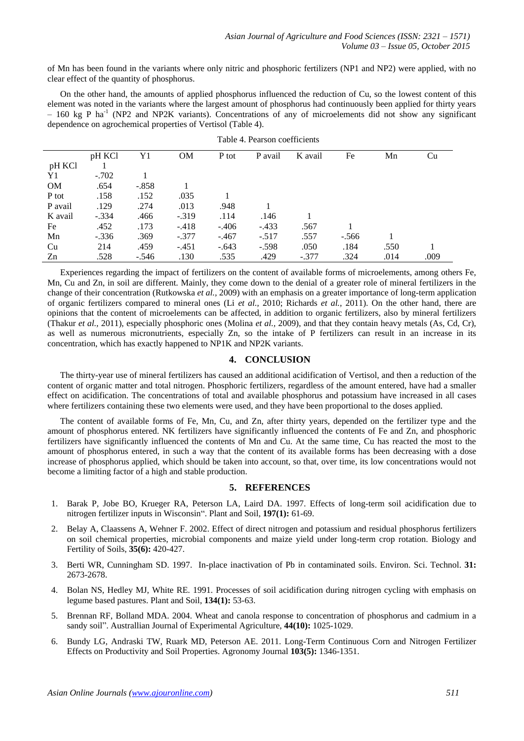of Mn has been found in the variants where only nitric and phosphoric fertilizers (NP1 and NP2) were applied, with no clear effect of the quantity of phosphorus.

On the other hand, the amounts of applied phosphorus influenced the reduction of Cu, so the lowest content of this element was noted in the variants where the largest amount of phosphorus had continuously been applied for thirty years - 160 kg P ha<sup>-1</sup> (NP2 and NP2K variants). Concentrations of any of microelements did not show any significant dependence on agrochemical properties of Vertisol (Table 4).

|           | pH KCl  | Y1      | <b>OM</b> | P tot   | P avail | K avail | Fe      | Mn   | Cu   |
|-----------|---------|---------|-----------|---------|---------|---------|---------|------|------|
| pH KCl    |         |         |           |         |         |         |         |      |      |
| Y1        | $-.702$ |         |           |         |         |         |         |      |      |
| <b>OM</b> | .654    | $-.858$ |           |         |         |         |         |      |      |
| P tot     | .158    | .152    | .035      |         |         |         |         |      |      |
| P avail   | .129    | .274    | .013      | .948    |         |         |         |      |      |
| K avail   | $-.334$ | .466    | $-.319$   | .114    | .146    |         |         |      |      |
| Fe        | .452    | .173    | $-.418$   | $-.406$ | $-.433$ | .567    |         |      |      |
| Mn        | $-.336$ | .369    | $-.377$   | $-.467$ | $-.517$ | .557    | $-.566$ |      |      |
| Cu        | 214     | .459    | $-.451$   | $-.643$ | $-.598$ | .050    | .184    | .550 |      |
| Zn        | .528    | $-.546$ | .130      | .535    | .429    | $-.377$ | .324    | .014 | .009 |

|  | Table 4. Pearson coefficients |
|--|-------------------------------|
|--|-------------------------------|

Experiences regarding the impact of fertilizers on the content of available forms of microelements, among others Fe, Mn, Cu and Zn, in soil are different. Mainly, they come down to the denial of a greater role of mineral fertilizers in the change of their concentration (Rutkowska *et al.,* 2009) with an emphasis on a greater importance of long-term application of organic fertilizers compared to mineral ones (Li *et al.,* 2010; Richards *et al.,* 2011). On the other hand, there are opinions that the content of microelements can be affected, in addition to organic fertilizers, also by mineral fertilizers (Thakur *et al.,* 2011), especially phosphoric ones (Molina *et al.,* 2009), and that they contain heavy metals (As, Cd, Cr), as well as numerous micronutrients, especially Zn, so the intake of P fertilizers can result in an increase in its concentration, which has exactly happened to NP1K and NP2K variants.

### **4. CONCLUSION**

The thirty-year use of mineral fertilizers has caused an additional acidification of Vertisol, and then a reduction of the content of organic matter and total nitrogen. Phosphoric fertilizers, regardless of the amount entered, have had a smaller effect on acidification. The concentrations of total and available phosphorus and potassium have increased in all cases where fertilizers containing these two elements were used, and they have been proportional to the doses applied.

The content of available forms of Fe, Mn, Cu, and Zn, after thirty years, depended on the fertilizer type and the amount of phosphorus entered. NK fertilizers have significantly influenced the contents of Fe and Zn, and phosphoric fertilizers have significantly influenced the contents of Mn and Cu. At the same time, Cu has reacted the most to the amount of phosphorus entered, in such a way that the content of its available forms has been decreasing with a dose increase of phosphorus applied, which should be taken into account, so that, over time, its low concentrations would not become a limiting factor of a high and stable production.

### **5. REFERENCES**

- 1. Barak P, Jobe BO, Krueger RA, Peterson LA, Laird DA. 1997. Effects of long-term soil acidification due to nitrogen fertilizer inputs in Wisconsin". Plant and Soil, **197(1):** 61-69.
- 2. [Belay](http://link.springer.com/search?facet-author=%22A.+Belay%22) A, [Claassens](http://link.springer.com/search?facet-author=%22A.+Claassens%22) A, [Wehner](http://link.springer.com/search?facet-author=%22F.+Wehner%22) F. 2002. Effect of direct nitrogen and potassium and residual phosphorus fertilizers on soil chemical properties, microbial components and maize yield under long-term crop rotation. Biology and Fertility of Soils, **35(6):** 420-427.
- 3. Berti WR, Cunningham SD. 1997. In-place inactivation of Pb in contaminated soils. Environ. Sci. Technol. **31:** 2673-2678.
- 4. Bolan NS, Hedley MJ, White RE. 1991. Processes of soil acidification during nitrogen cycling with emphasis on legume based pastures. Plant and Soil, **134(1):** 53-63.
- 5. Brennan RF, Bolland MDA. 2004. Wheat and canola response to concentration of phosphorus and cadmium in a sandy soil". Australlian Journal of Experimental Agriculture, **44(10):** 1025-1029.
- 6. Bundy LG, Andraski TW, Ruark MD, Peterson AE. 2011. Long-Term Continuous Corn and Nitrogen Fertilizer Effects on Productivity and Soil Properties. Agronomy Journal **103(5):** 1346-1351.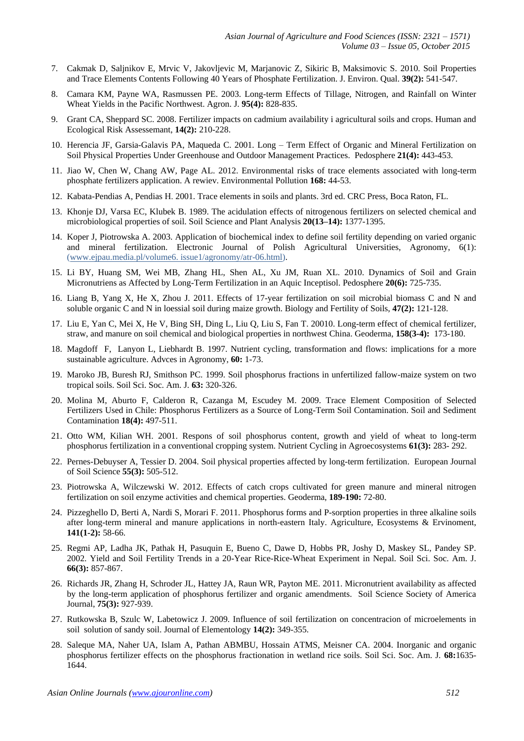- 7. Cakmak D, Saljnikov E, Mrvic V, Jakovljevic M, Marjanovic Z, Sikiric B, Maksimovic S. 2010. Soil Properties and Trace Elements Contents Following 40 Years of Phosphate Fertilization. J. Environ. Qual. **39(2):** 541-547.
- 8. Camara KM, Payne WA, Rasmussen PE. 2003. Long-term Effects of Tillage, Nitrogen, and Rainfall on Winter Wheat Yields in the Pacific Northwest. Agron. J. **95(4):** 828-835.
- 9. Grant CA, Sheppard SC. 2008. Fertilizer impacts on cadmium availability i agricultural soils and crops. Human and Ecological Risk Assessemant, **14(2):** 210-228.
- 10. Herencia JF, Garsia-Galavis PA, Maqueda C. 2001. Long Term Effect of Organic and Mineral Fertilization on Soil Physical Properties Under Greenhouse and Outdoor Management Practices. Pedosphere **21(4):** 443-453.
- 11. Jiao W, Chen W, Chang AW, Page AL. 2012. Environmental risks of trace elements associated with long-term phosphate fertilizers application. A rewiev. Environmental Pollution **168:** 44-53.
- 12. Kabata-Pendias A, Pendias Н. 2001. Trace elements in soils and plants. 3rd ed. CRC Press, Boca Raton, FL.
- 13. Khonje DJ, Varsa EC, Klubek B. 1989. The acidulation effects of nitrogenous fertilizers on selected chemical and microbiological properties of soil. Soil Science and Plant Analysis **20(13–14):** 1377-1395.
- 14. Koper J, Piotrowska A. 2003. Application of biochemical index to define soil fertility depending on varied organic and mineral fertilization. Electronic Journal of Polish Agricultural Universities, Agronomy, 6(1): [\(www.ejpau.media.pl/volume6. issue1/agronomy/atr-06.html\)](http://www.ejpau.media.pl/volume6.%20issue1/agronomy/atr-06.html).
- 15. Li BY, Huang SM, Wei MB, Zhang HL, Shen AL, Xu JM, Ruan XL. 2010. Dynamics of Soil and Grain Micronutriens as Affected by Long-Term Fertilization in an Aquic Inceptisol. Pedosphere **20(6):** 725-735.
- 16. Liang B, Yang X, He X, Zhou J. 2011. Effects of 17-year fertilization on soil microbial biomass C and N and soluble organic C and N in loessial soil during maize growth. Biology and Fertility of Soils, **47(2):** 121-128.
- 17. Liu E, Yan C, Mei X, He V, Bing SH, Ding L, Liu Q, Liu S, Fan T. 20010. Long-term effect of chemical fertilizer, straw, and manure on soil chemical and biological properties in northwest China. Geoderma, **158(3-4):** 173-180.
- 18. Magdoff F, Lanyon L, Liebhardt B. 1997. Nutrient cycling, transformation and flows: implications for a more sustainable agriculture. Advces in Agronomy, **60:** 1-73.
- 19. Maroko JB, Buresh RJ, Smithson PC. 1999. Soil phosphorus fractions in unfertilized fallow-maize system on two tropical soils. Soil Sci. Soc. Am. J. **63:** 320-326.
- 20. Molina M, Aburto F, Calderon R, Cazanga M, Escudey M. 2009. Trace Element Composition of Selected Fertilizers Used in Chile: Phosphorus Fertilizers as a Source of Long-Term Soil Contamination. Soil and Sediment Contamination **18(4):** 497-511.
- 21. Otto WM, Kilian WH. 2001. Respons of soil phosphorus content, growth and yield of wheat to long-term phosphorus fertilization in a conventional cropping system. Nutrient Cycling in Agroecosystems **61(3):** 283- 292.
- 22. Pernes-Debuyser A, Tessier D. 2004. Soil physical properties affected by long-term fertilization. European Journal of Soil Science **55(3):** 505-512.
- 23. Piotrowska A, Wilczewski W. 2012. Effects of catch crops cultivated for green manure and mineral nitrogen fertilization on soil enzyme activities and chemical properties. Geoderma, **189-190:** 72-80.
- 24. Pizzeghello D, Berti A, Nardi S, Morari F. 2011. Phosphorus forms and P-sorption properties in three alkaline soils after long-term mineral and manure applications in north-eastern Italy. Agriculture, Ecosystems & Ervinoment, **141(1-2):** 58-66.
- 25. Regmi AP, Ladha JK, Pathak H, Pasuquin E, Bueno C, Dawe D, Hobbs PR, Joshy D, Maskey SL, Pandey SP. 2002. Yield and Soil Fertility Trends in a 20-Year Rice-Rice-Wheat Experiment in Nepal. Soil Sci. Soc. Am. J. **66(3):** 857-867.
- 26. Richards JR, Zhang H, Schroder JL, Hattey JA, Raun WR, Payton ME. 2011. Micronutrient availability as affected by the long-term application of phosphorus fertilizer and organic amendments. Soil Science Society of America Journal, **75(3):** 927-939.
- 27. Rutkowska B, Szulc W, Labetowicz J. 2009. Influence of soil fertilization on concentracion of microelements in soil solution of sandy soil. Journal of Elementology **14(2):** 349-355.
- 28. Saleque MA, Naher UA, Islam A, Pathan ABMBU, Hossain ATMS, Meisner CA. 2004. Inorganic and organic phosphorus fertilizer effects on the phosphorus fractionation in wetland rice soils. Soil Sci. Soc. Am. J. **68:**1635- 1644.